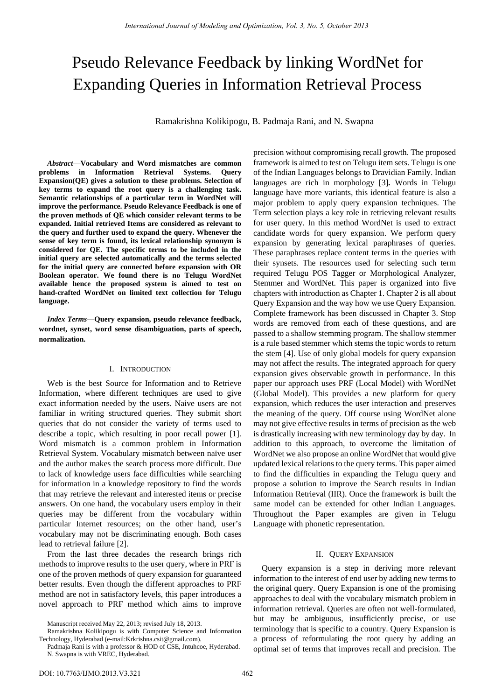# Pseudo Relevance Feedback by linking WordNet for Expanding Queries in Information Retrieval Process

Ramakrishna Kolikipogu, B. Padmaja Rani, and N. Swapna

*Abstract*—**Vocabulary and Word mismatches are common problems in Information Retrieval Systems. Query Expansion(QE) gives a solution to these problems. Selection of key terms to expand the root query is a challenging task. Semantic relationships of a particular term in WordNet will improve the performance. Pseudo Relevance Feedback is one of the proven methods of QE which consider relevant terms to be expanded. Initial retrieved Items are considered as relevant to the query and further used to expand the query. Whenever the sense of key term is found, its lexical relationship synonym is considered for QE. The specific terms to be included in the initial query are selected automatically and the terms selected for the initial query are connected before expansion with OR Boolean operator. We found there is no Telugu WordNet available hence the proposed system is aimed to test on hand-crafted WordNet on limited text collection for Telugu language.**

*Index Terms***—Query expansion, pseudo relevance feedback, wordnet, synset, word sense disambiguation, parts of speech, normalization.** 

## I. INTRODUCTION

Web is the best Source for Information and to Retrieve Information, where different techniques are used to give exact information needed by the users. Naive users are not familiar in writing structured queries. They submit short queries that do not consider the variety of terms used to describe a topic, which resulting in poor recall power [1]. Word mismatch is a common problem in Information Retrieval System. Vocabulary mismatch between na üe user and the author makes the search process more difficult. Due to lack of knowledge users face difficulties while searching for information in a knowledge repository to find the words that may retrieve the relevant and interested items or precise answers. On one hand, the vocabulary users employ in their queries may be different from the vocabulary within particular Internet resources; on the other hand, user's vocabulary may not be discriminating enough. Both cases lead to retrieval failure [2].

From the last three decades the research brings rich methods to improve results to the user query, where in PRF is one of the proven methods of query expansion for guaranteed better results. Even though the different approaches to PRF method are not in satisfactory levels, this paper introduces a novel approach to PRF method which aims to improve

framework is aimed to test on Telugu item sets. Telugu is one of the Indian Languages belongs to Dravidian Family. Indian languages are rich in morphology [3]*.* Words in Telugu language have more variants, this identical feature is also a major problem to apply query expansion techniques. The Term selection plays a key role in retrieving relevant results for user query. In this method WordNet is used to extract candidate words for query expansion. We perform query expansion by generating lexical paraphrases of queries. These paraphrases replace content terms in the queries with their synsets. The resources used for selecting such term required Telugu POS Tagger or Morphological Analyzer, Stemmer and WordNet. This paper is organized into five chapters with introduction as Chapter 1. Chapter 2 is all about Query Expansion and the way how we use Query Expansion. Complete framework has been discussed in Chapter 3. Stop words are removed from each of these questions, and are passed to a shallow stemming program. The shallow stemmer is a rule based stemmer which stems the topic words to return the stem [4]. Use of only global models for query expansion may not affect the results. The integrated approach for query expansion gives observable growth in performance. In this paper our approach uses PRF (Local Model) with WordNet (Global Model). This provides a new platform for query expansion, which reduces the user interaction and preserves the meaning of the query. Off course using WordNet alone may not give effective results in terms of precision as the web is drastically increasing with new terminology day by day. In addition to this approach, to overcome the limitation of WordNet we also propose an online WordNet that would give updated lexical relations to the query terms. This paper aimed to find the difficulties in expanding the Telugu query and propose a solution to improve the Search results in Indian Information Retrieval (IIR). Once the framework is built the same model can be extended for other Indian Languages. Throughout the Paper examples are given in Telugu Language with phonetic representation.

precision without compromising recall growth. The proposed

## II. QUERY EXPANSION

Query expansion is a step in deriving more relevant information to the interest of end user by adding new terms to the original query. Query Expansion is one of the promising approaches to deal with the vocabulary mismatch problem in information retrieval. Queries are often not well-formulated, but may be ambiguous, insufficiently precise, or use terminology that is specific to a country. Query Expansion is a process of reformulating the root query by adding an optimal set of terms that improves recall and precision. The

Manuscript received May 22, 2013; revised July 18, 2013.

Ramakrishna Kolikipogu is with Computer Science and Information Technology, Hyderabad (e-mail:Krkrishna.csit@gmail.com).

Padmaja Rani is with a professor & HOD of CSE, Jntuhcoe, Hyderabad. N. Swapna is with VREC, Hyderabad.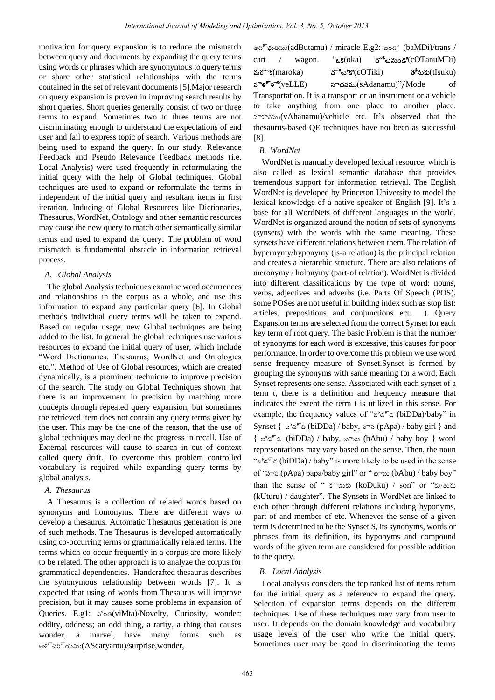motivation for query expansion is to reduce the mismatch between query and documents by expanding the query terms using words or phrases which are synonymous to query terms or share other statistical relationships with the terms contained in the set of relevant documents [5].Major research on query expansion is proven in improving search results by short queries. Short queries generally consist of two or three terms to expand. Sometimes two to three terms are not discriminating enough to understand the expectations of end user and fail to express topic of search. Various methods are being used to expand the query. In our study, Relevance Feedback and Pseudo Relevance Feedback methods (i.e. Local Analysis) were used frequently in reformulating the initial query with the help of Global techniques. Global techniques are used to expand or reformulate the terms in independent of the initial query and resultant items in first iteration. Inducing of Global Resources like Dictionaries, Thesaurus, WordNet, Ontology and other semantic resources may cause the new query to match other semantically similar terms and used to expand the query. The problem of word mismatch is fundamental obstacle in information retrieval process.

#### *A. Global Analysis*

The global Analysis techniques examine word occurrences and relationships in the corpus as a whole, and use this information to expand any particular query [6]. In Global methods individual query terms will be taken to expand. Based on regular usage, new Global techniques are being added to the list. In general the global techniques use various resources to expand the initial query of user, which include ―Word Dictionaries, Thesaurus, WordNet and Ontologies etc.". Method of Use of Global resources, which are created dynamically, is a prominent technique to improve precision of the search. The study on Global Techniques shown that there is an improvement in precision by matching more concepts through repeated query expansion, but sometimes the retrieved item does not contain any query terms given by the user. This may be the one of the reason, that the use of global techniques may decline the progress in recall. Use of External resources will cause to search in out of context called query drift. To overcome this problem controlled vocabulary is required while expanding query terms by global analysis.

## *A. Thesaurus*

A Thesaurus is a collection of related words based on synonyms and homonyms. There are different ways to develop a thesaurus. Automatic Thesaurus generation is one of such methods. The Thesaurus is developed automatically using co-occurring terms or grammatically related terms. The terms which co-occur frequently in a corpus are more likely to be related. The other approach is to analyze the corpus for grammatical dependencies. Handcrafted thesaurus describes the synonymous relationship between words [7]. It is expected that using of words from Thesaurus will improve precision, but it may causes some problems in expansion of Queries. E.g1: వింత(viMta)/Novelty, Curiosity, wonder; oddity, oddness; an odd thing, a rarity, a thing that causes wonder, a marvel, have many forms such as ఆశ్చర్యము(AScaryamu)/surprise,wonder,

| అద్భుతము(adButamu) / miracle E.g2: బండి (baMDi)/trans /         |  |  |  |
|-----------------------------------------------------------------|--|--|--|
| $``a$ క $(oka)$ చోటనుండి $(cOTanuMDi)$<br>$cart$ / wagon.       |  |  |  |
| చోటికి $(c$ O $Tiki)$ తీసుకు $(tIsuku)$<br>మరొక $(maroka)$      |  |  |  |
| వెళ్ళే $(veLLE)$<br>సాదనము(sAdanamu)"/Mode<br>- of              |  |  |  |
| Transportation. It is a transport or an instrument or a vehicle |  |  |  |
| to take anything from one place to another place.               |  |  |  |
| వాహనము(vAhanamu)/vehicle etc. It's observed that the            |  |  |  |
| thesaurus-based QE techniques have not been as successful       |  |  |  |

#### *B. WordNet*

[8].

WordNet is manually developed lexical resource, which is also called as lexical semantic database that provides tremendous support for information retrieval. The English WordNet is developed by Princeton University to model the lexical knowledge of a native speaker of English [9]. It's a base for all WordNets of different languages in the world. WordNet is organized around the notion of sets of synonyms (synsets) with the words with the same meaning. These synsets have different relations between them. The relation of hypernymy/hyponymy (is-a relation) is the principal relation and creates a hierarchic structure. There are also relations of meronymy / holonymy (part-of relation). WordNet is divided into different classifications by the type of word: nouns, verbs, adjectives and adverbs (i.e. Parts Of Speech (POS), some POSes are not useful in building index such as stop list: articles, prepositions and conjunctions ect. ). Query Expansion terms are selected from the correct Synset for each key term of root query. The basic Problem is that the number of synonyms for each word is excessive, this causes for poor performance. In order to overcome this problem we use word sense frequency measure of Synset.Synset is formed by grouping the synonyms with same meaning for a word. Each Synset represents one sense. Associated with each synset of a term t, there is a definition and frequency measure that indicates the extent the term t is utilized in this sense. For example, the frequency values of "బిడ్డ (biDDa)/baby" in Synset { $a^3 \xi^5 \xi$  (biDDa) / baby,  $\sin^3(\beta)$  / baby girl } and  $\{ x^3 \leq \leq x \}$  (biDDa) / baby, బాబు (bAbu) / baby boy } word representations may vary based on the sense. Then, the noun "బిడ్డ (biDDa) / baby" is more likely to be used in the sense of "పాప (pApa) papa/baby girl" or " బాబు (bAbu) / baby boy" than the sense of " కొడుకు (koDuku) / son" or "కూతురు  $(kUturu)$  / daughter". The Synsets in WordNet are linked to each other through different relations including hyponyms, part of and member of etc. Whenever the sense of a given term is determined to be the Synset S, its synonyms, words or phrases from its definition, its hyponyms and compound words of the given term are considered for possible addition to the query.

## *B. Local Analysis*

Local analysis considers the top ranked list of items return for the initial query as a reference to expand the query. Selection of expansion terms depends on the different techniques. Use of these techniques may vary from user to user. It depends on the domain knowledge and vocabulary usage levels of the user who write the initial query. Sometimes user may be good in discriminating the terms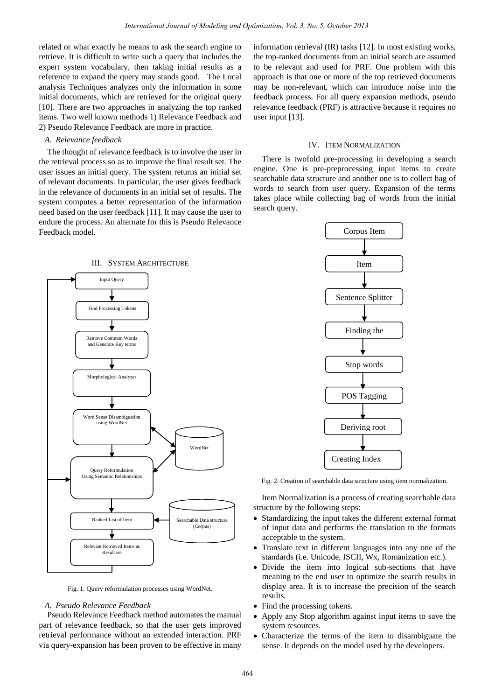related or what exactly he means to ask the search engine to retrieve. It is difficult to write such a query that includes the expert system vocabulary, then taking initial results as a reference to expand the query may stands good. The Local analysis Techniques analyzes only the information in some initial documents, which are retrieved for the original query [10]. There are two approaches in analyzing the top ranked items. Two well known methods 1) Relevance Feedback and 2) Pseudo Relevance Feedback are more in practice.

# *A. Relevance feedback*

The thought of relevance feedback is to involve the user in the retrieval process so as to improve the final result set. The user issues an initial query. The system returns an initial set of relevant documents. In particular, the user gives feedback in the relevance of documents in an initial set of results**.** The system computes a better representation of the information need based on the user feedback [11]. It may cause the user to endure the process. An alternate for this is Pseudo Relevance Feedback model.

information retrieval (IR) tasks [12]. In most existing works, the top-ranked documents from an initial search are assumed to be relevant and used for PRF. One problem with this approach is that one or more of the top retrieved documents may be non-relevant, which can introduce noise into the feedback process. For all query expansion methods, pseudo relevance feedback (PRF) is attractive because it requires no user input [13].

#### IV. ITEM NORMALIZATION

There is twofold pre-processing in developing a search engine. One is pre-preprocessing input items to create searchable data structure and another one is to collect bag of words to search from user query. Expansion of the terms takes place while collecting bag of words from the initial search query.



Fig. 1. Query reformulation processes using WordNet.

#### *A. Pseudo Relevance Feedback*

Pseudo Relevance Feedback method automates the manual part of relevance feedback, so that the user gets improved retrieval performance without an extended interaction. PRF via query-expansion has been proven to be effective in many



Fig. 2. Creation of searchable data structure using item normalization.

Item Normalization is a process of creating searchable data structure by the following steps:

- Standardizing the input takes the different external format of input data and performs the translation to the formats acceptable to the system.
- Translate text in different languages into any one of the standards (i.e. Unicode, ISCII, Wx, Romanization etc.).
- Divide the item into logical sub-sections that have meaning to the end user to optimize the search results in display area. It is to increase the precision of the search results.
- Find the processing tokens.
- Apply any Stop algorithm against input items to save the system resources.
- Characterize the terms of the item to disambiguate the sense. It depends on the model used by the developers.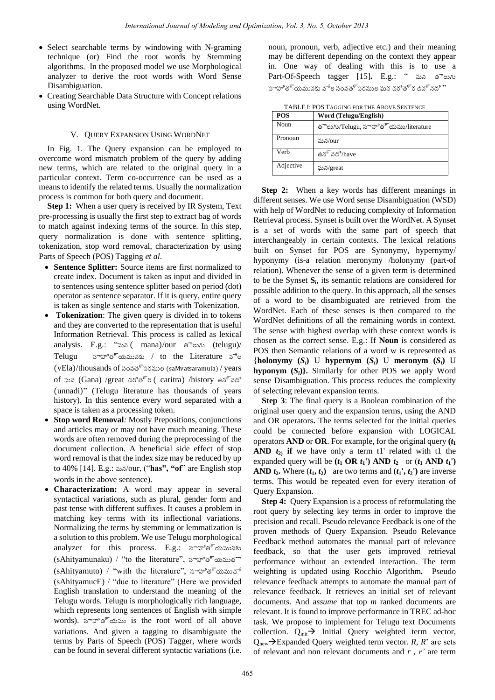- Select searchable terms by windowing with N-graming technique (or) Find the root words by Stemming algorithms. In the proposed model we use Morphological analyzer to derive the root words with Word Sense Disambiguation.
- Creating Searchable Data Structure with Concept relations using WordNet.

#### V. QUERY EXPANSION USING WORDNET

 In Fig. 1. The Query expansion can be employed to overcome word mismatch problem of the query by adding new terms, which are related to the original query in a particular context. Term co-occurrence can be used as a means to identify the related terms. Usually the normalization process is common for both query and document.

**Step 1:** When a user query is received by IR System, Text pre-processing is usually the first step to extract bag of words to match against indexing terms of the source. In this step, query normalization is done with sentence splitting, tokenization, stop word removal, characterization by using Parts of Speech (POS) Tagging *et al*.

- **Sentence Splitter:** Source items are first normalized to create index. Document is taken as input and divided in to sentences using sentence splitter based on period (dot) operator as sentence separator. If it is query, entire query is taken as single sentence and starts with Tokenization.
- **Tokenization**: The given query is divided in to tokens and they are converted to the representation that is useful Information Retrieval. This process is called as lexical analysis. E.g.: "మన (mana)/our తెలుగు (telugu)/ Telugu సాహిత్యమునకు / to the Literature వేల (vEla)/thousands of సంవత్సరముల (saMvatsaramula) / years of ఘన (Gana) /great చరత్ర ( caritra) /history ఉన్నద (unnadi)" (Telugu literature has thousands of years history). In this sentence every word separated with a space is taken as a processing token.
- **Stop word Removal***:* Mostly Prepositions, conjunctions and articles may or may not have much meaning. These words are often removed during the preprocessing of the document collection. A beneficial side effect of stop word removal is that the index size may be reduced by up to 40% [14]. E.g.: మన/our, ("has", "of" are English stop words in the above sentence).
- **Characterization:** A word may appear in several syntactical variations, such as plural, gender form and past tense with different suffixes. It causes a problem in matching key terms with its inflectional variations. Normalizing the terms by stemming or lemmatization is a solution to this problem. We use Telugu morphological analyzer for this process. E.g.: సాహిత్యమునకు (sAhityamunaku) / "to the literature", సాహిత్యముతొ (sAhityamuto) / "with the literature", సాహిత్యముచే  $(s\text{AhitvamucE})$  / "due to literature" (Here we provided English translation to understand the meaning of the Telugu words. Telugu is morphologically rich language, which represents long sentences of English with simple words). సాహిత్యము is the root word of all above variations. And given a tagging to disambiguate the terms by Parts of Speech (POS) Tagger, where words can be found in several different syntactic variations (i.e.

noun, pronoun, verb, adjective etc.) and their meaning may be different depending on the context they appear in. One way of dealing with this is to use a Part-Of-Speech tagger [15]. E.g.: " మన తెలుగు సాహిత్యమునకు వేల సంవత్సరముల పున చరిత్ర ఉన్నది ''

| TABLE I: POS TAGGING FOR THE ABOVE SENTENCE |
|---------------------------------------------|
|                                             |

| POS       | Word (Telugu/English)               |
|-----------|-------------------------------------|
| Noun      | తెలుగు/Telugu, సాహిత్యము/literature |
| Pronoun   | మన/our                              |
| Verb      | ఉన్నది/have                         |
| Adjective | ఘన/great                            |

**Step 2:** When a key words has different meanings in different senses. We use Word sense Disambiguation (WSD) with help of WordNet to reducing complexity of Information Retrieval process. Synset is built over the WordNet. A Synset is a set of words with the same part of speech that interchangeably in certain contexts. The lexical relations built on Synset for POS are Synonymy, hypernymy/ hyponymy (is-a relation meronymy /holonymy (part-of relation). Whenever the sense of a given term is determined to be the Synset **S<sup>i</sup>** , its semantic relations are considered for possible addition to the query. In this approach, all the senses of a word to be disambiguated are retrieved from the WordNet. Each of these senses is then compared to the WordNet definitions of all the remaining words in context. The sense with highest overlap with these context words is chosen as the correct sense. E.g.: If **Noun** is considered as POS then Semantic relations of a word w is represented as {holonymy  $(S_i)$  U hypernym  $(S_i)$  U meronym  $(S_i)$  U **hyponym**  $(S_i)$ . Similarly for other POS we apply Word sense Disambiguation. This process reduces the complexity of selecting relevant expansion terms.

**Step 3**: The final query is a Boolean combination of the original user query and the expansion terms, using the AND and OR operators**.** The terms selected for the initial queries could be connected before expansion with LOGICAL operators **AND** or **OR**. For example, for the original query **(***t***<sup>1</sup> AND**  $t_2$  if we have only a term t1' related with t1 the expanded query will be  $(t_1 \textbf{ OR } t_1)$  AND  $t_2$  or  $(t_1 \textbf{ AND } t_1)$ **AND**  $t_2$ **.** Where  $(t_1, t_2)$  are two terms and  $(t_1, t_2)$  are inverse terms. This would be repeated even for every iteration of Query Expansion.

**Step 4:** Query Expansion is a process of reformulating the root query by selecting key terms in order to improve the precision and recall. Pseudo relevance Feedback is one of the proven methods of Query Expansion. Pseudo Relevance Feedback method automates the manual part of relevance feedback, so that the user gets improved retrieval performance without an extended interaction. The term weighting is updated using Rocchio Algorithm*.* Pseudo relevance feedback attempts to automate the manual part of relevance feedback. It retrieves an initial set of relevant documents. And a*ssume* that top *m* ranked documents are relevant. It is found to improve performance in TREC ad-hoc task. We propose to implement for Telugu text Documents collection.  $Q_{init} \rightarrow$  Initial Query weighted term vector,  $Q_{\text{new}}\rightarrow$ Expanded Query weighted term vector. *R, R*' are sets of relevant and non relevant documents and *r* , *r'* are term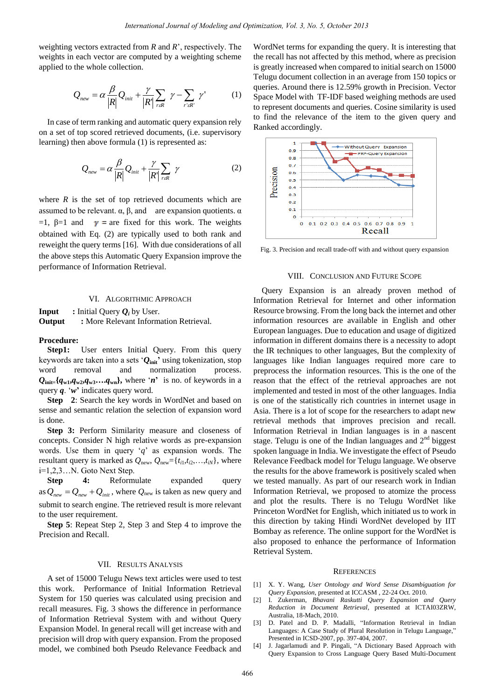weighting vectors extracted from *R* and *R*', respectively. The weights in each vector are computed by a weighting scheme applied to the whole collection.

$$
Q_{new} = \alpha \frac{\beta}{|R|} Q_{init} + \frac{\gamma}{|R|} \sum_{r \in R} \gamma - \sum_{r' \in R'} \gamma'
$$
 (1)

In case of term ranking and automatic query expansion rely on a set of top scored retrieved documents, (i.e. supervisory learning) then above formula (1) is represented as:

$$
Q_{new} = \alpha \frac{\beta}{|R|} Q_{init} + \frac{\gamma}{|R|} \sum_{r \in R} \gamma
$$
 (2)

where  $R$  is the set of top retrieved documents which are assumed to be relevant.  $\alpha$ ,  $\beta$ , and are expansion quotients.  $\alpha$ =1, β=1 and  $\gamma$  = are fixed for this work. The weights obtained with Eq. (2) are typically used to both rank and reweight the query terms [16]. With due considerations of all the above steps this Automatic Query Expansion improve the performance of Information Retrieval.

## VI. ALGORITHMIC APPROACH

**Input** : Initial Query  $Q_i$  by User. **Output :** More Relevant Information Retrieval.

#### **Procedure:**

Step1: User enters Initial Query. From this query keywords are taken into a sets ‗*Q***init'** using tokenization, stop word removal and normalization process.  $Q_{\text{init}}$  { $q_{w1}, q_{w2}, q_{w3}, \ldots, q_{wn}$ }, where '*n*' is no. of keywords in a query *q*. ‗*w***'** indicates query word.

**Step** 2: Search the key words in WordNet and based on sense and semantic relation the selection of expansion word is done.

**Step 3:** Perform Similarity measure and closeness of concepts. Consider N high relative words as pre-expansion words. Use them in query  $q'$  as expansion words. The resultant query is marked as  $Q_{\text{new}}, Q_{\text{new}} = \{t_{i1}, t_{i2}, \ldots, t_{iN}\}$ , where i=1,2,3…N. Goto Next Step.

**Step 4:** Reformulate expanded query as  $Q_{new} = Q_{new} + Q_{init}$ , where  $Q_{new}$  is taken as new query and submit to search engine. The retrieved result is more relevant to the user requirement.

**Step 5**: Repeat Step 2, Step 3 and Step 4 to improve the Precision and Recall.

#### VII. RESULTS ANALYSIS

A set of 15000 Telugu News text articles were used to test this work. Performance of Initial Information Retrieval System for 150 queries was calculated using precision and recall measures. Fig. 3 shows the difference in performance of Information Retrieval System with and without Query Expansion Model. In general recall will get increase with and precision will drop with query expansion. From the proposed model, we combined both Pseudo Relevance Feedback and

WordNet terms for expanding the query. It is interesting that the recall has not affected by this method, where as precision is greatly increased when compared to initial search on 15000 Telugu document collection in an average from 150 topics or queries. Around there is 12.59% growth in Precision. Vector Space Model with TF-IDF based weighing methods are used to represent documents and queries. Cosine similarity is used to find the relevance of the item to the given query and Ranked accordingly.



Fig. 3. Precision and recall trade-off with and without query expansion

#### VIII. CONCLUSION AND FUTURE SCOPE

Query Expansion is an already proven method of Information Retrieval for Internet and other information Resource browsing. From the long back the internet and other information resources are available in English and other European languages. Due to education and usage of digitized information in different domains there is a necessity to adopt the IR techniques to other languages, But the complexity of languages like Indian languages required more care to preprocess the information resources. This is the one of the reason that the effect of the retrieval approaches are not implemented and tested in most of the other languages. India is one of the statistically rich countries in internet usage in Asia. There is a lot of scope for the researchers to adapt new retrieval methods that improves precision and recall. Information Retrieval in Indian languages is in a nascent stage. Telugu is one of the Indian languages and  $2<sup>nd</sup>$  biggest spoken language in India. We investigate the effect of Pseudo Relevance Feedback model for Telugu language. We observe the results for the above framework is positively scaled when we tested manually. As part of our research work in Indian Information Retrieval, we proposed to atomize the process and plot the results. There is no Telugu WordNet like Princeton WordNet for English, which initiated us to work in this direction by taking Hindi WordNet developed by IIT Bombay as reference. The online support for the WordNet is also proposed to enhance the performance of Information Retrieval System.

#### **REFERENCES**

- [1] X. Y. Wang, *User Ontology and Word Sense Disambiguation for Query Expansion*, presented at ICCASM , 22-24 Oct. 2010.
- [2] I. Zukerman, *Bhavani Raskutti Query Expansion and Query Reduction in Document Retrieval*, presented at ICTAI03ZRW, Australia, 18-Mach, 2010.
- [3] D. Patel and D. P. Madalli, "Information Retrieval in Indian Languages: A Case Study of Plural Resolution in Telugu Language," Presented in ICSD-2007, pp. 397-404, 2007.
- [4] J. Jagarlamudi and P. Pingali, "A Dictionary Based Approach with Query Expansion to Cross Language Query Based Multi-Document